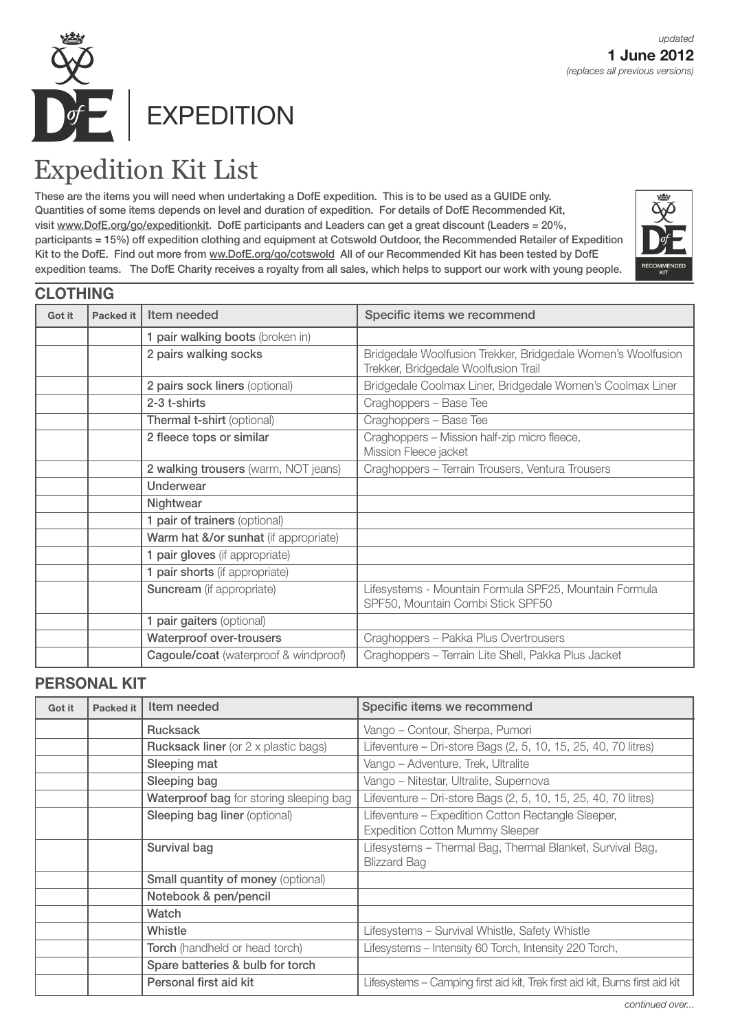

## Expedition Kit List

These are the items you will need when undertaking a DofE expedition. This is to be used as a GUIDE only. Quantities of some items depends on level and duration of expedition. For details of DofE Recommended Kit, visit www.DofE.org/go/expeditionkit. DofE participants and Leaders can get a great discount (Leaders = 20%, participants = 15%) off expedition clothing and equipment at Cotswold Outdoor, the Recommended Retailer of Expedition Kit to the DofE. Find out more from ww.DofE.org/go/cotswold All of our Recommended Kit has been tested by DofE expedition teams. The DofE Charity receives a royalty from all sales, which helps to support our work with young people.



|        | <b>CLOTHING</b> |                                       |                                                                                                      |
|--------|-----------------|---------------------------------------|------------------------------------------------------------------------------------------------------|
| Got it | Packed it       | Item needed                           | Specific items we recommend                                                                          |
|        |                 | 1 pair walking boots (broken in)      |                                                                                                      |
|        |                 | 2 pairs walking socks                 | Bridgedale Woolfusion Trekker, Bridgedale Women's Woolfusion<br>Trekker, Bridgedale Woolfusion Trail |
|        |                 | 2 pairs sock liners (optional)        | Bridgedale Coolmax Liner, Bridgedale Women's Coolmax Liner                                           |
|        |                 | 2-3 t-shirts                          | Craghoppers - Base Tee                                                                               |
|        |                 | Thermal t-shirt (optional)            | Craghoppers - Base Tee                                                                               |
|        |                 | 2 fleece tops or similar              | Craghoppers - Mission half-zip micro fleece,<br>Mission Fleece jacket                                |
|        |                 | 2 walking trousers (warm, NOT jeans)  | Craghoppers - Terrain Trousers, Ventura Trousers                                                     |
|        |                 | <b>Underwear</b>                      |                                                                                                      |
|        |                 | Nightwear                             |                                                                                                      |
|        |                 | 1 pair of trainers (optional)         |                                                                                                      |
|        |                 | Warm hat &/or sunhat (if appropriate) |                                                                                                      |
|        |                 | 1 pair gloves (if appropriate)        |                                                                                                      |
|        |                 | 1 pair shorts (if appropriate)        |                                                                                                      |
|        |                 | <b>Suncream</b> (if appropriate)      | Lifesystems - Mountain Formula SPF25, Mountain Formula<br>SPF50, Mountain Combi Stick SPF50          |
|        |                 | 1 pair gaiters (optional)             |                                                                                                      |
|        |                 | <b>Waterproof over-trousers</b>       | Craghoppers - Pakka Plus Overtrousers                                                                |
|        |                 | Cagoule/coat (waterproof & windproof) | Craghoppers - Terrain Lite Shell, Pakka Plus Jacket                                                  |

## **PERSONAL KIT**

| Got it | Packed it | Item needed                                 | Specific items we recommend                                                                  |
|--------|-----------|---------------------------------------------|----------------------------------------------------------------------------------------------|
|        |           | <b>Rucksack</b>                             | Vango - Contour, Sherpa, Pumori                                                              |
|        |           | <b>Rucksack liner</b> (or 2 x plastic bags) | Lifeventure – Dri-store Bags (2, 5, 10, 15, 25, 40, 70 litres)                               |
|        |           | Sleeping mat                                | Vango - Adventure, Trek, Ultralite                                                           |
|        |           | Sleeping bag                                | Vango - Nitestar, Ultralite, Supernova                                                       |
|        |           | Waterproof bag for storing sleeping bag     | Lifeventure - Dri-store Bags (2, 5, 10, 15, 25, 40, 70 litres)                               |
|        |           | <b>Sleeping bag liner (optional)</b>        | Lifeventure - Expedition Cotton Rectangle Sleeper,<br><b>Expedition Cotton Mummy Sleeper</b> |
|        |           | Survival bag                                | Lifesystems - Thermal Bag, Thermal Blanket, Survival Bag,<br><b>Blizzard Bag</b>             |
|        |           | <b>Small quantity of money (optional)</b>   |                                                                                              |
|        |           | Notebook & pen/pencil                       |                                                                                              |
|        |           | Watch                                       |                                                                                              |
|        |           | Whistle                                     | Lifesystems - Survival Whistle, Safety Whistle                                               |
|        |           | <b>Torch</b> (handheld or head torch)       | Lifesystems - Intensity 60 Torch, Intensity 220 Torch,                                       |
|        |           | Spare batteries & bulb for torch            |                                                                                              |
|        |           | Personal first aid kit                      | Lifesystems – Camping first aid kit, Trek first aid kit, Burns first aid kit                 |